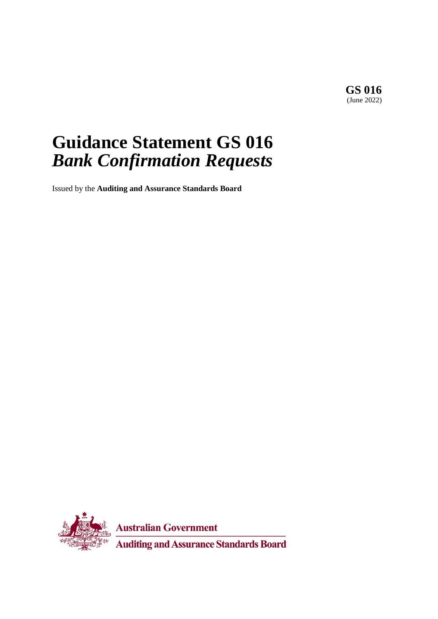# **Guidance Statement GS 016** *Bank Confirmation Requests*

Issued by the **Auditing and Assurance Standards Board**



**Auditing and Assurance Standards Board**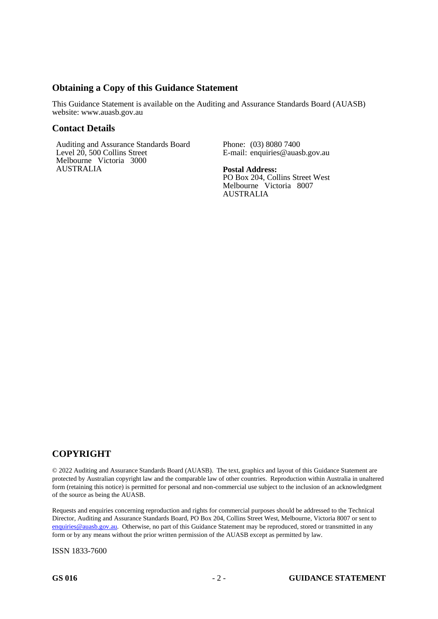# **Obtaining a Copy of this Guidance Statement**

This Guidance Statement is available on the Auditing and Assurance Standards Board (AUASB) website: www.auasb.gov.au

### **Contact Details**

Auditing and Assurance Standards Board Level 20, 500 Collins Street Melbourne Victoria 3000 AUSTRALIA

Phone: (03) 8080 7400 E-mail: enquiries@auasb.gov.au

**Postal Address:** PO Box 204, Collins Street West Melbourne Victoria 8007 AUSTRALIA

# **COPYRIGHT**

© 2022 Auditing and Assurance Standards Board (AUASB). The text, graphics and layout of this Guidance Statement are protected by Australian copyright law and the comparable law of other countries. Reproduction within Australia in unaltered form (retaining this notice) is permitted for personal and non-commercial use subject to the inclusion of an acknowledgment of the source as being the AUASB.

Requests and enquiries concerning reproduction and rights for commercial purposes should be addressed to the Technical Director, Auditing and Assurance Standards Board, PO Box 204, Collins Street West, Melbourne, Victoria 8007 or sent to [enquiries@auasb.gov.au.](mailto:enquiries@auasb.gov.au) Otherwise, no part of this Guidance Statement may be reproduced, stored or transmitted in any form or by any means without the prior written permission of the AUASB except as permitted by law.

ISSN 1833-7600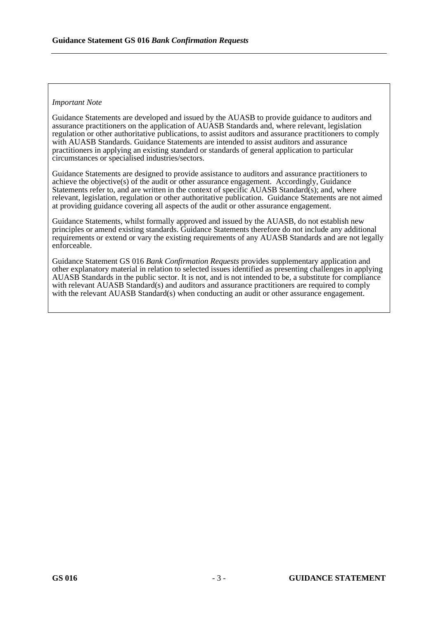### *Important Note*

Guidance Statements are developed and issued by the AUASB to provide guidance to auditors and assurance practitioners on the application of AUASB Standards and, where relevant, legislation regulation or other authoritative publications, to assist auditors and assurance practitioners to comply with AUASB Standards. Guidance Statements are intended to assist auditors and assurance practitioners in applying an existing standard or standards of general application to particular circumstances or specialised industries/sectors.

Guidance Statements are designed to provide assistance to auditors and assurance practitioners to achieve the objective(s) of the audit or other assurance engagement. Accordingly, Guidance Statements refer to, and are written in the context of specific AUASB Standard(s); and, where relevant, legislation, regulation or other authoritative publication. Guidance Statements are not aimed at providing guidance covering all aspects of the audit or other assurance engagement.

Guidance Statements, whilst formally approved and issued by the AUASB, do not establish new principles or amend existing standards. Guidance Statements therefore do not include any additional requirements or extend or vary the existing requirements of any AUASB Standards and are not legally enforceable.

Guidance Statement GS 016 *Bank Confirmation Requests* provides supplementary application and other explanatory material in relation to selected issues identified as presenting challenges in applying AUASB Standards in the public sector. It is not, and is not intended to be, a substitute for compliance with relevant AUASB Standard(s) and auditors and assurance practitioners are required to comply with the relevant AUASB Standard(s) when conducting an audit or other assurance engagement.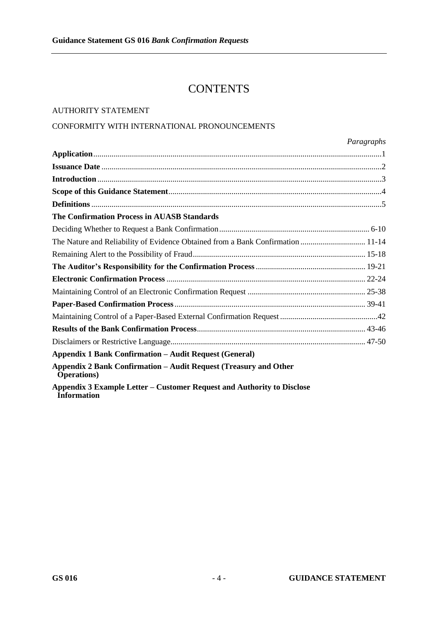# **CONTENTS**

# AUTHORITY STATEMENT

# CONFORMITY WITH INTERNATIONAL PRONOUNCEMENTS

|                                                                                              | Paragraphs |
|----------------------------------------------------------------------------------------------|------------|
|                                                                                              |            |
|                                                                                              |            |
|                                                                                              |            |
|                                                                                              |            |
|                                                                                              |            |
| <b>The Confirmation Process in AUASB Standards</b>                                           |            |
|                                                                                              |            |
|                                                                                              |            |
|                                                                                              |            |
|                                                                                              |            |
|                                                                                              |            |
|                                                                                              |            |
|                                                                                              |            |
|                                                                                              |            |
|                                                                                              |            |
|                                                                                              |            |
| <b>Appendix 1 Bank Confirmation – Audit Request (General)</b>                                |            |
| Appendix 2 Bank Confirmation - Audit Request (Treasury and Other<br><b>Operations</b> )      |            |
| Appendix 3 Example Letter - Customer Request and Authority to Disclose<br><b>Information</b> |            |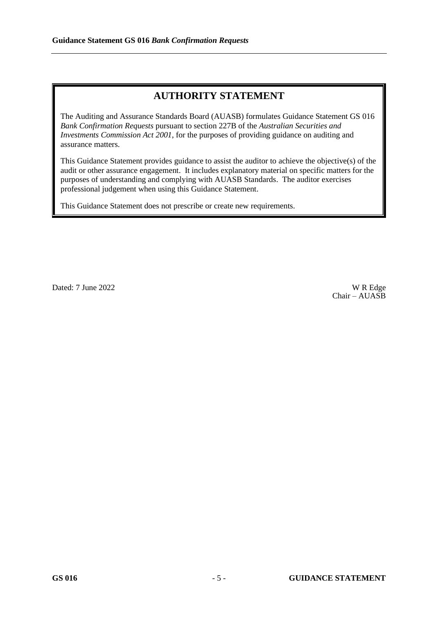# **AUTHORITY STATEMENT**

The Auditing and Assurance Standards Board (AUASB) formulates Guidance Statement GS 016 *Bank Confirmation Requests* pursuant to section 227B of the *Australian Securities and Investments Commission Act 2001*, for the purposes of providing guidance on auditing and assurance matters.

This Guidance Statement provides guidance to assist the auditor to achieve the objective(s) of the audit or other assurance engagement. It includes explanatory material on specific matters for the purposes of understanding and complying with AUASB Standards. The auditor exercises professional judgement when using this Guidance Statement.

This Guidance Statement does not prescribe or create new requirements.

Dated: 7 June 2022 W R Edge

Chair – AUASB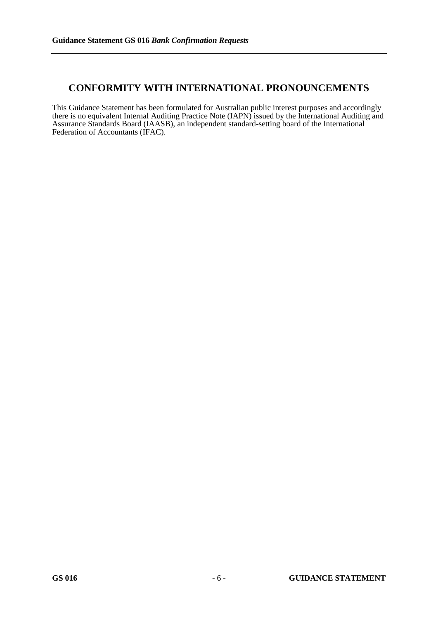# **CONFORMITY WITH INTERNATIONAL PRONOUNCEMENTS**

This Guidance Statement has been formulated for Australian public interest purposes and accordingly there is no equivalent Internal Auditing Practice Note (IAPN) issued by the International Auditing and Assurance Standards Board (IAASB), an independent standard-setting board of the International Federation of Accountants (IFAC).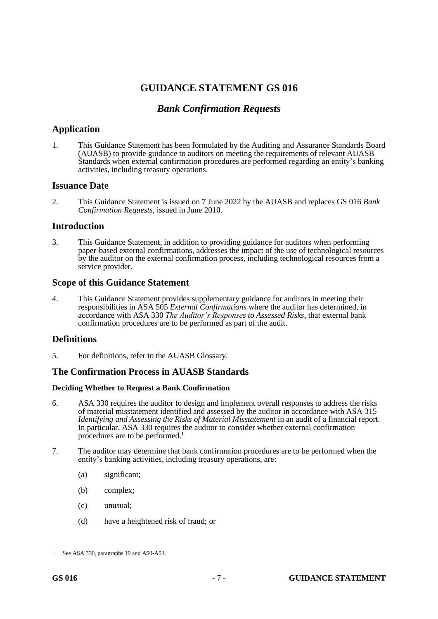# **GUIDANCE STATEMENT GS 016**

# *Bank Confirmation Requests*

# **Application**

1. This Guidance Statement has been formulated by the Auditing and Assurance Standards Board (AUASB) to provide guidance to auditors on meeting the requirements of relevant AUASB Standards when external confirmation procedures are performed regarding an entity's banking activities, including treasury operations.

# **Issuance Date**

2. This Guidance Statement is issued on 7 June 2022 by the AUASB and replaces GS 016 *Bank Confirmation Requests*, issued in June 2010.

# **Introduction**

3. This Guidance Statement, in addition to providing guidance for auditors when performing paper-based external confirmations, addresses the impact of the use of technological resources by the auditor on the external confirmation process, including technological resources from a service provider.

# **Scope of this Guidance Statement**

4. This Guidance Statement provides supplementary guidance for auditors in meeting their responsibilities in ASA 505 *External Confirmations* where the auditor has determined, in accordance with ASA 330 *The Auditor's Responses to Assessed Risks,* that external bank confirmation procedures are to be performed as part of the audit.

# **Definitions**

5. For definitions, refer to the AUASB Glossary.

# **The Confirmation Process in AUASB Standards**

### **Deciding Whether to Request a Bank Confirmation**

- 6. ASA 330 requires the auditor to design and implement overall responses to address the risks of material misstatement identified and assessed by the auditor in accordance with ASA 315 *Identifying and Assessing the Risks of Material Misstatement* in an audit of a financial report. In particular, ASA 330 requires the auditor to consider whether external confirmation procedures are to be performed.<sup>1</sup>
- 7. The auditor may determine that bank confirmation procedures are to be performed when the entity's banking activities, including treasury operations, are:
	- (a) significant;
	- (b) complex;
	- (c) unusual;
	- (d) have a heightened risk of fraud; or

See ASA 330, paragraphs 19 and A50-A53.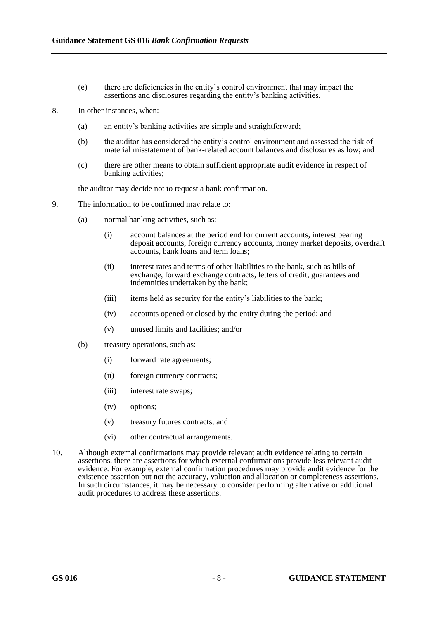- (e) there are deficiencies in the entity's control environment that may impact the assertions and disclosures regarding the entity's banking activities.
- 8. In other instances, when:
	- (a) an entity's banking activities are simple and straightforward;
	- (b) the auditor has considered the entity's control environment and assessed the risk of material misstatement of bank-related account balances and disclosures as low; and
	- (c) there are other means to obtain sufficient appropriate audit evidence in respect of banking activities;

the auditor may decide not to request a bank confirmation.

- 9. The information to be confirmed may relate to:
	- (a) normal banking activities, such as:
		- (i) account balances at the period end for current accounts, interest bearing deposit accounts, foreign currency accounts, money market deposits, overdraft accounts, bank loans and term loans;
		- (ii) interest rates and terms of other liabilities to the bank, such as bills of exchange, forward exchange contracts, letters of credit, guarantees and indemnities undertaken by the bank;
		- (iii) items held as security for the entity's liabilities to the bank;
		- (iv) accounts opened or closed by the entity during the period; and
		- (v) unused limits and facilities; and/or
	- (b) treasury operations, such as:
		- (i) forward rate agreements;
		- (ii) foreign currency contracts;
		- (iii) interest rate swaps;
		- (iv) options;
		- (v) treasury futures contracts; and
		- (vi) other contractual arrangements.
- 10. Although external confirmations may provide relevant audit evidence relating to certain assertions, there are assertions for which external confirmations provide less relevant audit evidence. For example, external confirmation procedures may provide audit evidence for the existence assertion but not the accuracy, valuation and allocation or completeness assertions. In such circumstances, it may be necessary to consider performing alternative or additional audit procedures to address these assertions.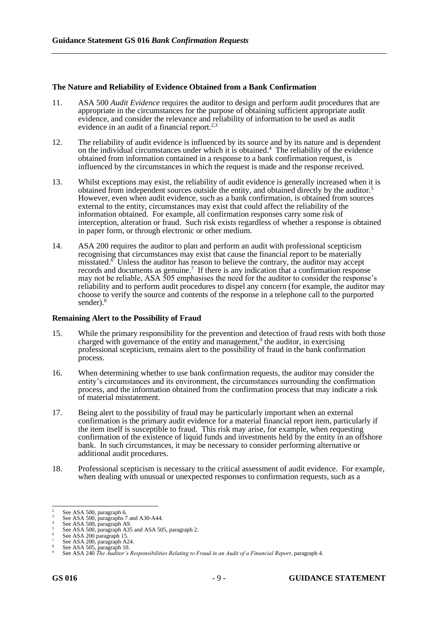### **The Nature and Reliability of Evidence Obtained from a Bank Confirmation**

- 11. ASA 500 *Audit Evidence* requires the auditor to design and perform audit procedures that are appropriate in the circumstances for the purpose of obtaining sufficient appropriate audit evidence, and consider the relevance and reliability of information to be used as audit evidence in an audit of a financial report.<sup>2,3</sup>
- 12. The reliability of audit evidence is influenced by its source and by its nature and is dependent on the individual circumstances under which it is obtained. 4 The reliability of the evidence obtained from information contained in a response to a bank confirmation request, is influenced by the circumstances in which the request is made and the response received.
- 13. Whilst exceptions may exist, the reliability of audit evidence is generally increased when it is obtained from independent sources outside the entity, and obtained directly by the auditor. 5 However, even when audit evidence, such as a bank confirmation, is obtained from sources external to the entity, circumstances may exist that could affect the reliability of the information obtained. For example, all confirmation responses carry some risk of interception, alteration or fraud. Such risk exists regardless of whether a response is obtained in paper form, or through electronic or other medium.
- 14. ASA 200 requires the auditor to plan and perform an audit with professional scepticism recognising that circumstances may exist that cause the financial report to be materially misstated.<sup>6</sup> Unless the auditor has reason to believe the contrary, the auditor may accept records and documents as genuine. 7 If there is any indication that a confirmation response may not be reliable, ASA 505 emphasises the need for the auditor to consider the response's reliability and to perform audit procedures to dispel any concern (for example, the auditor may choose to verify the source and contents of the response in a telephone call to the purported sender).<sup>8</sup>

### **Remaining Alert to the Possibility of Fraud**

- 15. While the primary responsibility for the prevention and detection of fraud rests with both those charged with governance of the entity and management,<sup>9</sup> the auditor, in exercising professional scepticism, remains alert to the possibility of fraud in the bank confirmation process.
- 16. When determining whether to use bank confirmation requests, the auditor may consider the entity's circumstances and its environment, the circumstances surrounding the confirmation process, and the information obtained from the confirmation process that may indicate a risk of material misstatement.
- 17. Being alert to the possibility of fraud may be particularly important when an external confirmation is the primary audit evidence for a material financial report item, particularly if the item itself is susceptible to fraud. This risk may arise, for example, when requesting confirmation of the existence of liquid funds and investments held by the entity in an offshore bank. In such circumstances, it may be necessary to consider performing alternative or additional audit procedures.
- 18. Professional scepticism is necessary to the critical assessment of audit evidence. For example, when dealing with unusual or unexpected responses to confirmation requests, such as a

See ASA 500, paragraph 6.

<sup>&</sup>lt;sup>3</sup> See ASA 500, paragraphs 7 and A30-A44.

<sup>&</sup>lt;sup>4</sup> See ASA 500, paragraph A9. See ASA 500, paragraph A5.<br>See ASA 500, paragraph A35 and ASA 505, paragraph 2.

<sup>&</sup>lt;sup>6</sup> See ASA 200 paragraph 15.

 $7$  See ASA 200, paragraph A24.

<sup>&</sup>lt;sup>8</sup> See ASA 505, paragraph 10.

<sup>9</sup> See ASA 240 *The Auditor's Responsibilities Relating to Fraud in an Audit of a Financial Report*, paragraph 4.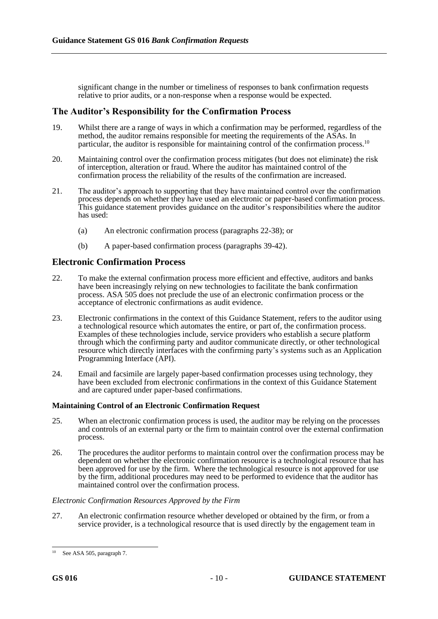significant change in the number or timeliness of responses to bank confirmation requests relative to prior audits, or a non-response when a response would be expected.

### **The Auditor's Responsibility for the Confirmation Process**

- 19. Whilst there are a range of ways in which a confirmation may be performed, regardless of the method, the auditor remains responsible for meeting the requirements of the ASAs. In particular, the auditor is responsible for maintaining control of the confirmation process.<sup>10</sup>
- 20. Maintaining control over the confirmation process mitigates (but does not eliminate) the risk of interception, alteration or fraud. Where the auditor has maintained control of the confirmation process the reliability of the results of the confirmation are increased.
- 21. The auditor's approach to supporting that they have maintained control over the confirmation process depends on whether they have used an electronic or paper-based confirmation process. This guidance statement provides guidance on the auditor's responsibilities where the auditor has used:
	- (a) An electronic confirmation process (paragraphs [22](#page-9-0)[-38\)](#page-11-0); or
	- (b) A paper-based confirmation process (paragraphs [39](#page-11-1)[-42\)](#page-12-0).

## **Electronic Confirmation Process**

- <span id="page-9-0"></span>22. To make the external confirmation process more efficient and effective, auditors and banks have been increasingly relying on new technologies to facilitate the bank confirmation process. ASA 505 does not preclude the use of an electronic confirmation process or the acceptance of electronic confirmations as audit evidence.
- <span id="page-9-1"></span>23. Electronic confirmations in the context of this Guidance Statement, refers to the auditor using a technological resource which automates the entire, or part of, the confirmation process. Examples of these technologies include, service providers who establish a secure platform through which the confirming party and auditor communicate directly, or other technological resource which directly interfaces with the confirming party's systems such as an Application Programming Interface (API).
- <span id="page-9-2"></span>24. Email and facsimile are largely paper-based confirmation processes using technology, they have been excluded from electronic confirmations in the context of this Guidance Statement and are captured under paper-based confirmations.

### **Maintaining Control of an Electronic Confirmation Request**

- 25. When an electronic confirmation process is used, the auditor may be relying on the processes and controls of an external party or the firm to maintain control over the external confirmation process.
- 26. The procedures the auditor performs to maintain control over the confirmation process may be dependent on whether the electronic confirmation resource is a technological resource that has been approved for use by the firm. Where the technological resource is not approved for use by the firm, additional procedures may need to be performed to evidence that the auditor has maintained control over the confirmation process.

### *Electronic Confirmation Resources Approved by the Firm*

27. An electronic confirmation resource whether developed or obtained by the firm, or from a service provider, is a technological resource that is used directly by the engagement team in

<sup>10</sup> See ASA 505, paragraph 7.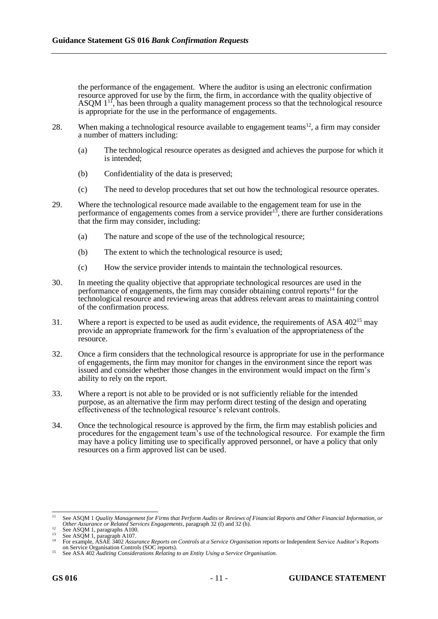the performance of the engagement. Where the auditor is using an electronic confirmation resource approved for use by the firm, the firm, in accordance with the quality objective of ASQM  $1<sup>11</sup>$ , has been through a quality management process so that the technological resource is appropriate for the use in the performance of engagements.

- <span id="page-10-0"></span>28. When making a technological resource available to engagement teams<sup>12</sup>, a firm may consider a number of matters including:
	- (a) The technological resource operates as designed and achieves the purpose for which it is intended;
	- (b) Confidentiality of the data is preserved;
	- (c) The need to develop procedures that set out how the technological resource operates.
- 29. Where the technological resource made available to the engagement team for use in the performance of engagements comes from a service provider<sup>13</sup>, there are further considerations that the firm may consider, including:
	- (a) The nature and scope of the use of the technological resource;
	- (b) The extent to which the technological resource is used;
	- (c) How the service provider intends to maintain the technological resources.
- 30. In meeting the quality objective that appropriate technological resources are used in the performance of engagements, the firm may consider obtaining control reports<sup>14</sup> for the technological resource and reviewing areas that address relevant areas to maintaining control of the confirmation process.
- 31. Where a report is expected to be used as audit evidence, the requirements of ASA 402<sup>15</sup> may provide an appropriate framework for the firm's evaluation of the appropriateness of the resource.
- 32. Once a firm considers that the technological resource is appropriate for use in the performance of engagements, the firm may monitor for changes in the environment since the report was issued and consider whether those changes in the environment would impact on the firm's ability to rely on the report.
- 33. Where a report is not able to be provided or is not sufficiently reliable for the intended purpose, as an alternative the firm may perform direct testing of the design and operating effectiveness of the technological resource's relevant controls.
- <span id="page-10-1"></span>34. Once the technological resource is approved by the firm, the firm may establish policies and procedures for the engagement team's use of the technological resource. For example the firm may have a policy limiting use to specifically approved personnel, or have a policy that only resources on a firm approved list can be used.

<sup>&</sup>lt;sup>11</sup> See ASQM 1 *Quality Management for Firms that Perform Audits or Reviews of Financial Reports and Other Financial Information, or Other Assurance or Related Services Engagements*, paragraph 32 (f) and 32 (h).

<sup>&</sup>lt;sup>12</sup> See ASQM 1, paragraphs A100.

<sup>&</sup>lt;sup>13</sup> See ASQM 1, paragraph A107.

<sup>14</sup> For example, ASAE 3402 *Assurance Reports on Controls at a Service Organisation* reports or Independent Service Auditor's Reports on Service Organisation Controls (SOC reports). <sup>15</sup> See ASA 402 *Auditing Considerations Relating to an Entity Using a Service Organisation.*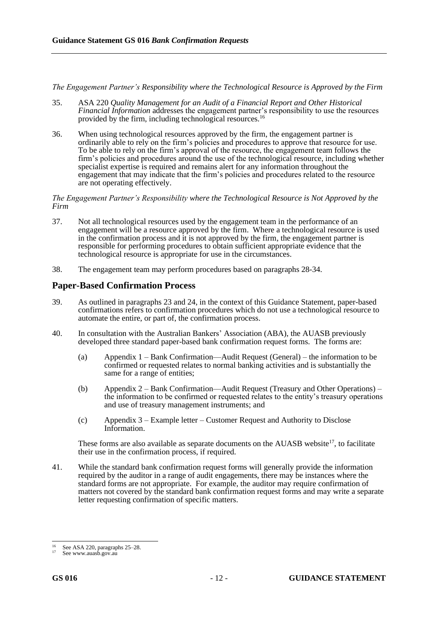*The Engagement Partner's Responsibility where the Technological Resource is Approved by the Firm*

- 35. ASA 220 *Quality Management for an Audit of a Financial Report and Other Historical Financial Information* addresses the engagement partner's responsibility to use the resources provided by the firm, including technological resources.<sup>16</sup>
- 36. When using technological resources approved by the firm, the engagement partner is ordinarily able to rely on the firm's policies and procedures to approve that resource for use. To be able to rely on the firm's approval of the resource, the engagement team follows the firm's policies and procedures around the use of the technological resource, including whether specialist expertise is required and remains alert for any information throughout the engagement that may indicate that the firm's policies and procedures related to the resource are not operating effectively.

### *The Engagement Partner's Responsibility where the Technological Resource is Not Approved by the Firm*

- 37. Not all technological resources used by the engagement team in the performance of an engagement will be a resource approved by the firm. Where a technological resource is used in the confirmation process and  $\hat{t}$  is not approved by the firm, the engagement partner is responsible for performing procedures to obtain sufficient appropriate evidence that the technological resource is appropriate for use in the circumstances.
- <span id="page-11-0"></span>38. The engagement team may perform procedures based on paragraph[s 28](#page-10-0)[-34.](#page-10-1)

### **Paper-Based Confirmation Process**

- <span id="page-11-1"></span>39. As outlined in paragraphs [23](#page-9-1) and [24,](#page-9-2) in the context of this Guidance Statement, paper-based confirmations refers to confirmation procedures which do not use a technological resource to automate the entire, or part of, the confirmation process.
- 40. In consultation with the Australian Bankers' Association (ABA), the AUASB previously developed three standard paper-based bank confirmation request forms. The forms are:
	- (a) Appendix 1 Bank Confirmation—Audit Request (General) the information to be confirmed or requested relates to normal banking activities and is substantially the same for a range of entities;
	- (b) Appendix 2 Bank Confirmation—Audit Request (Treasury and Other Operations) the information to be confirmed or requested relates to the entity's treasury operations and use of treasury management instruments; and
	- (c) Appendix 3 Example letter Customer Request and Authority to Disclose Information.

These forms are also available as separate documents on the AUASB website<sup>17</sup>, to facilitate their use in the confirmation process, if required.

41. While the standard bank confirmation request forms will generally provide the information required by the auditor in a range of audit engagements, there may be instances where the standard forms are not appropriate. For example, the auditor may require confirmation of matters not covered by the standard bank confirmation request forms and may write a separate letter requesting confirmation of specific matters.

See ASA 220, paragraphs 25–28.

See www.auasb.gov.au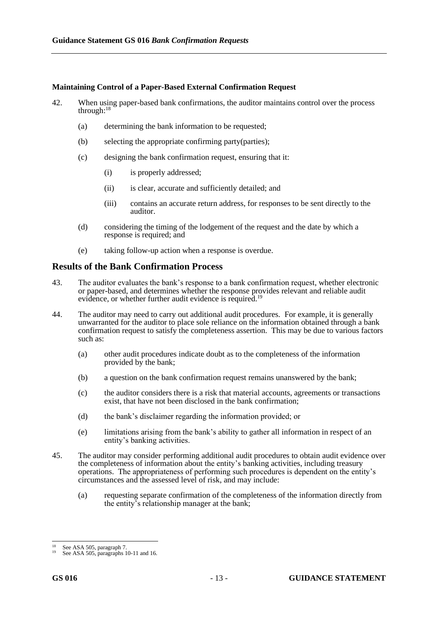### **Maintaining Control of a Paper-Based External Confirmation Request**

- <span id="page-12-0"></span>42. When using paper-based bank confirmations, the auditor maintains control over the process through:<sup>18</sup>
	- (a) determining the bank information to be requested;
	- (b) selecting the appropriate confirming party(parties);
	- (c) designing the bank confirmation request, ensuring that it:
		- (i) is properly addressed;
		- (ii) is clear, accurate and sufficiently detailed; and
		- (iii) contains an accurate return address, for responses to be sent directly to the auditor.
	- (d) considering the timing of the lodgement of the request and the date by which a response is required; and
	- (e) taking follow-up action when a response is overdue.

### **Results of the Bank Confirmation Process**

- 43. The auditor evaluates the bank's response to a bank confirmation request, whether electronic or paper-based, and determines whether the response provides relevant and reliable audit evidence, or whether further audit evidence is required.<sup>19</sup>
- 44. The auditor may need to carry out additional audit procedures. For example, it is generally unwarranted for the auditor to place sole reliance on the information obtained through a bank confirmation request to satisfy the completeness assertion. This may be due to various factors such as:
	- (a) other audit procedures indicate doubt as to the completeness of the information provided by the bank;
	- (b) a question on the bank confirmation request remains unanswered by the bank;
	- (c) the auditor considers there is a risk that material accounts, agreements or transactions exist, that have not been disclosed in the bank confirmation;
	- (d) the bank's disclaimer regarding the information provided; or
	- (e) limitations arising from the bank's ability to gather all information in respect of an entity's banking activities.
- 45. The auditor may consider performing additional audit procedures to obtain audit evidence over the completeness of information about the entity's banking activities, including treasury operations. The appropriateness of performing such procedures is dependent on the entity's circumstances and the assessed level of risk, and may include:
	- (a) requesting separate confirmation of the completeness of the information directly from the entity's relationship manager at the bank;

See ASA 505, paragraph 7.

See ASA 505, paragraphs 10-11 and 16.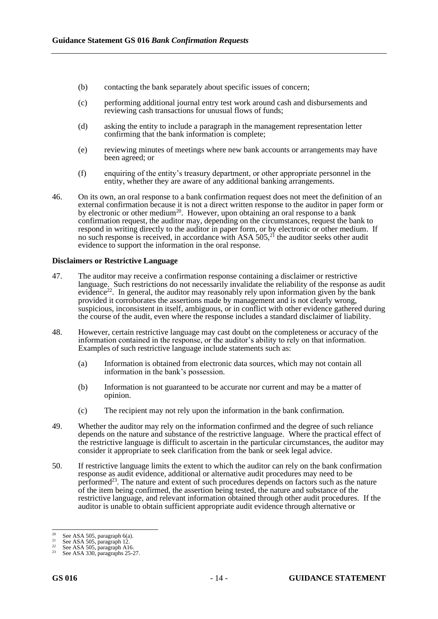- (b) contacting the bank separately about specific issues of concern;
- (c) performing additional journal entry test work around cash and disbursements and reviewing cash transactions for unusual flows of funds;
- (d) asking the entity to include a paragraph in the management representation letter confirming that the bank information is complete;
- (e) reviewing minutes of meetings where new bank accounts or arrangements may have been agreed; or
- (f) enquiring of the entity's treasury department, or other appropriate personnel in the entity, whether they are aware of any additional banking arrangements.
- 46. On its own, an oral response to a bank confirmation request does not meet the definition of an external confirmation because it is not a direct written response to the auditor in paper form or by electronic or other medium<sup>20</sup>. However, upon obtaining an oral response to a bank confirmation request, the auditor may, depending on the circumstances, request the bank to respond in writing directly to the auditor in paper form, or by electronic or other medium. If no such response is received, in accordance with ASA 505,<sup>21</sup> the auditor seeks other audit evidence to support the information in the oral response.

### **Disclaimers or Restrictive Language**

- 47. The auditor may receive a confirmation response containing a disclaimer or restrictive language. Such restrictions do not necessarily invalidate the reliability of the response as audit evidence<sup>22</sup>. In general, the auditor may reasonably rely upon information given by the bank provided it corroborates the assertions made by management and is not clearly wrong, suspicious, inconsistent in itself, ambiguous, or in conflict with other evidence gathered during the course of the audit, even where the response includes a standard disclaimer of liability.
- 48. However, certain restrictive language may cast doubt on the completeness or accuracy of the information contained in the response, or the auditor's ability to rely on that information. Examples of such restrictive language include statements such as:
	- (a) Information is obtained from electronic data sources, which may not contain all information in the bank's possession.
	- (b) Information is not guaranteed to be accurate nor current and may be a matter of opinion.
	- (c) The recipient may not rely upon the information in the bank confirmation.
- 49. Whether the auditor may rely on the information confirmed and the degree of such reliance depends on the nature and substance of the restrictive language. Where the practical effect of the restrictive language is difficult to ascertain in the particular circumstances, the auditor may consider it appropriate to seek clarification from the bank or seek legal advice.
- 50. If restrictive language limits the extent to which the auditor can rely on the bank confirmation response as audit evidence, additional or alternative audit procedures may need to be performed<sup>23</sup>. The nature and extent of such procedures depends on factors such as the nature of the item being confirmed, the assertion being tested, the nature and substance of the restrictive language, and relevant information obtained through other audit procedures. If the auditor is unable to obtain sufficient appropriate audit evidence through alternative or

<sup>&</sup>lt;sup>20</sup> See ASA 505, paragraph  $6(a)$ .

<sup>&</sup>lt;sup>21</sup> See ASA 505, paragraph 12.<br><sup>22</sup> See ASA 505, paragraph A16.

 $23$  See ASA 330, paragraphs 25-27.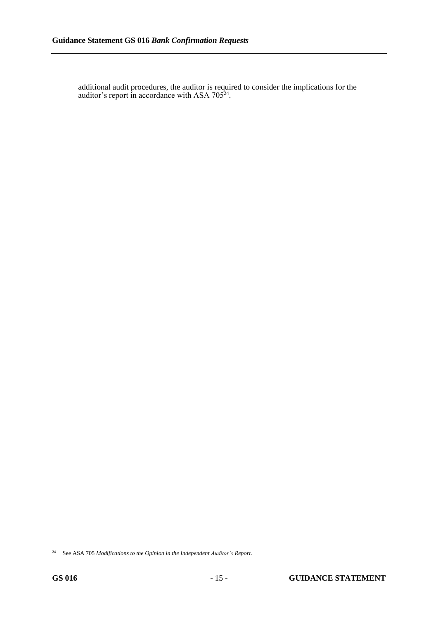additional audit procedures, the auditor is required to consider the implications for the auditor's report in accordance with ASA  $705^{24}$ .

<sup>24</sup> See ASA 705 *Modifications to the Opinion in the Independent Auditor's Report*.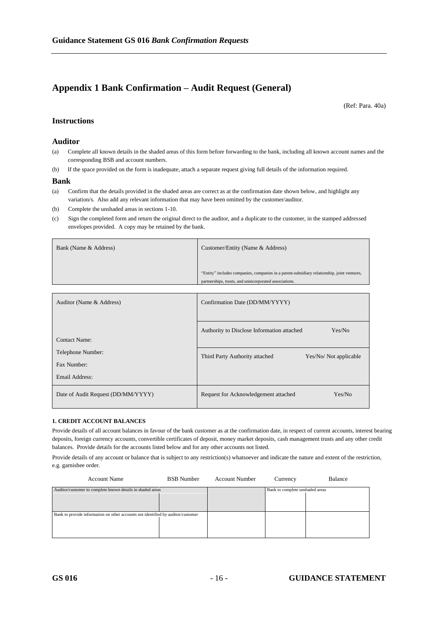# **Appendix 1 Bank Confirmation – Audit Request (General)**

(Ref: Para. 40a)

### **Instructions**

#### **Auditor**

- (a) Complete all known details in the shaded areas of this form before forwarding to the bank, including all known account names and the corresponding BSB and account numbers.
- (b) If the space provided on the form is inadequate, attach a separate request giving full details of the information required.

#### **Bank**

- (a) Confirm that the details provided in the shaded areas are correct as at the confirmation date shown below, and highlight any variation/s. Also add any relevant information that may have been omitted by the customer/auditor.
- (b) Complete the unshaded areas in sections 1-10.
- (c) Sign the completed form and return the original direct to the auditor, and a duplicate to the customer, in the stamped addressed envelopes provided. A copy may be retained by the bank.

| Bank (Name & Address) | Customer/Entity (Name & Address)                                                            |
|-----------------------|---------------------------------------------------------------------------------------------|
|                       |                                                                                             |
|                       | "Entity" includes companies, companies in a parent-subsidiary relationship, joint ventures, |
|                       | partnerships, trusts, and unincorporated associations.                                      |
|                       |                                                                                             |

| Auditor (Name & Address)           | Confirmation Date (DD/MM/YYYY)             |                       |
|------------------------------------|--------------------------------------------|-----------------------|
| Contact Name:                      | Authority to Disclose Information attached | Yes/No                |
| Telephone Number:<br>Fax Number:   | Third Party Authority attached             | Yes/No/Not applicable |
| Email Address:                     |                                            |                       |
| Date of Audit Request (DD/MM/YYYY) | Request for Acknowledgement attached       | Yes/No                |

#### **1. CREDIT ACCOUNT BALANCES**

Provide details of all account balances in favour of the bank customer as at the confirmation date, in respect of current accounts, interest bearing deposits, foreign currency accounts, convertible certificates of deposit, money market deposits, cash management trusts and any other credit balances. Provide details for the accounts listed below and for any other accounts not listed.

Provide details of any account or balance that is subject to any restriction(s) whatsoever and indicate the nature and extent of the restriction, e.g. garnishee order.

| <b>Account Name</b>                                                              | <b>BSB</b> Number | <b>Account Number</b> | Currency                        | Balance |
|----------------------------------------------------------------------------------|-------------------|-----------------------|---------------------------------|---------|
| Auditor/customer to complete known details in shaded areas                       |                   |                       | Bank to complete unshaded areas |         |
|                                                                                  |                   |                       |                                 |         |
|                                                                                  |                   |                       |                                 |         |
| Bank to provide information on other accounts not identified by auditor/customer |                   |                       |                                 |         |
|                                                                                  |                   |                       |                                 |         |
|                                                                                  |                   |                       |                                 |         |
|                                                                                  |                   |                       |                                 |         |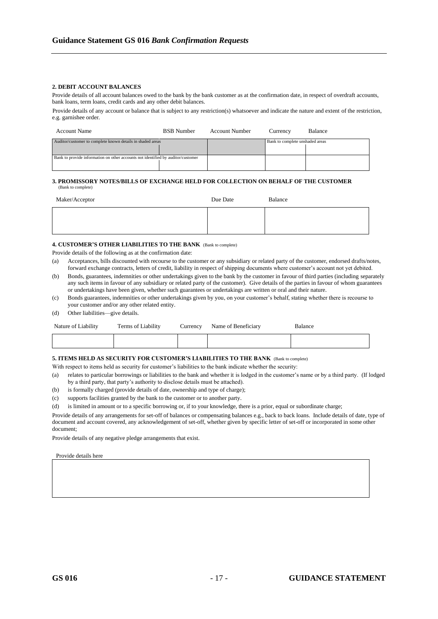#### **2. DEBIT ACCOUNT BALANCES**

Provide details of all account balances owed to the bank by the bank customer as at the confirmation date, in respect of overdraft accounts, bank loans, term loans, credit cards and any other debit balances.

Provide details of any account or balance that is subject to any restriction(s) whatsoever and indicate the nature and extent of the restriction, e.g. garnishee order.

| Account Name                                                                     | <b>BSB</b> Number | <b>Account Number</b> | Currency                        | <b>Balance</b> |
|----------------------------------------------------------------------------------|-------------------|-----------------------|---------------------------------|----------------|
| Auditor/customer to complete known details in shaded areas                       |                   |                       | Bank to complete unshaded areas |                |
| Bank to provide information on other accounts not identified by auditor/customer |                   |                       |                                 |                |

#### **3. PROMISSORY NOTES/BILLS OF EXCHANGE HELD FOR COLLECTION ON BEHALF OF THE CUSTOMER** (Bank to complete)

| Maker/Acceptor | Due Date | Balance |
|----------------|----------|---------|
|                |          |         |
|                |          |         |

#### **4. CUSTOMER'S OTHER LIABILITIES TO THE BANK** (Bank to complete)

Provide details of the following as at the confirmation date:

(a) Acceptances, bills discounted with recourse to the customer or any subsidiary or related party of the customer, endorsed drafts/notes, forward exchange contracts, letters of credit, liability in respect of shipping documents where customer's account not yet debited.

(b) Bonds, guarantees, indemnities or other undertakings given to the bank by the customer in favour of third parties (including separately any such items in favour of any subsidiary or related party of the customer). Give details of the parties in favour of whom guarantees or undertakings have been given, whether such guarantees or undertakings are written or oral and their nature.

- (c) Bonds guarantees, indemnities or other undertakings given by you, on your customer's behalf, stating whether there is recourse to your customer and/or any other related entity.
- (d) Other liabilities—give details.

| Nature of Liability | Terms of Liability | Currency | Name of Beneficiary | Balance |
|---------------------|--------------------|----------|---------------------|---------|
|                     |                    |          |                     |         |

#### **5. ITEMS HELD AS SECURITY FOR CUSTOMER'S LIABILITIES TO THE BANK** (Bank to complete)

With respect to items held as security for customer's liabilities to the bank indicate whether the security:

- (a) relates to particular borrowings or liabilities to the bank and whether it is lodged in the customer's name or by a third party. (If lodged by a third party, that party's authority to disclose details must be attached).
- (b) is formally charged (provide details of date, ownership and type of charge);
- (c) supports facilities granted by the bank to the customer or to another party.
- (d) is limited in amount or to a specific borrowing or, if to your knowledge, there is a prior, equal or subordinate charge;

Provide details of any arrangements for set-off of balances or compensating balances e.g., back to back loans. Include details of date, type of document and account covered, any acknowledgement of set-off, whether given by specific letter of set-off or incorporated in some other document;

Provide details of any negative pledge arrangements that exist.

Provide details here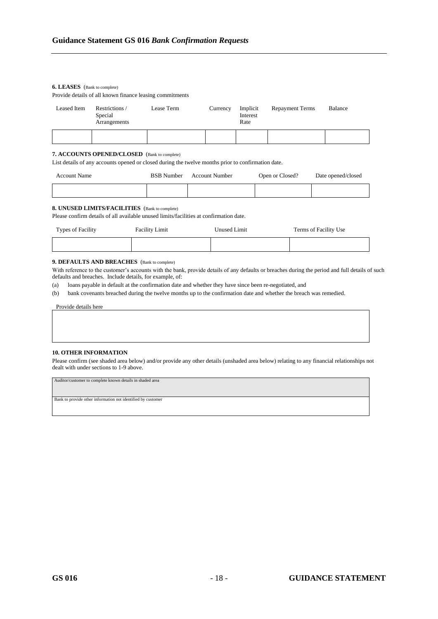#### **6. LEASES** (Bank to complete)

Provide details of all known finance leasing commitments

| Leased Item | Restrictions/<br>Special<br>Arrangements | Lease Term | Currency | Implicit<br>Interest<br>Rate | <b>Repayment Terms</b> | Balance |
|-------------|------------------------------------------|------------|----------|------------------------------|------------------------|---------|
|             |                                          |            |          |                              |                        |         |

#### **7. ACCOUNTS OPENED/CLOSED** (Bank to complete)

List details of any accounts opened or closed during the twelve months prior to confirmation date.

| <b>Account Name</b> | <b>BSB</b> Number | Account Number | Open or Closed? | Date opened/closed |
|---------------------|-------------------|----------------|-----------------|--------------------|
|                     |                   |                |                 |                    |

#### **8. UNUSED LIMITS/FACILITIES** (Bank to complete)

Please confirm details of all available unused limits/facilities at confirmation date.

| <b>Types of Facility</b> | <b>Facility Limit</b> | Unused Limit | Terms of Facility Use |
|--------------------------|-----------------------|--------------|-----------------------|
|                          |                       |              |                       |

#### **9. DEFAULTS AND BREACHES** (Bank to complete)

With reference to the customer's accounts with the bank, provide details of any defaults or breaches during the period and full details of such defaults and breaches. Include details, for example, of:

(a) loans payable in default at the confirmation date and whether they have since been re-negotiated, and

(b) bank covenants breached during the twelve months up to the confirmation date and whether the breach was remedied.

Provide details here

#### **10. OTHER INFORMATION**

Please confirm (see shaded area below) and/or provide any other details (unshaded area below) relating to any financial relationships not dealt with under sections to 1-9 above.

Auditor/customer to complete known details in shaded area

Bank to provide other information not identified by customer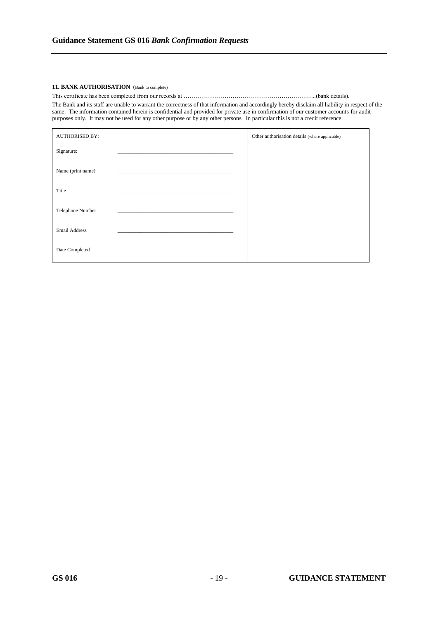### 11. BANK AUTHORISATION (Bank to complete)

This certificate has been completed from our records at …………………………………………………………..(bank details).

The Bank and its staff are unable to warrant the correctness of that information and accordingly hereby disclaim all liability in respect of the same. The information contained herein is confidential and provided for private use in confirmation of our customer accounts for audit purposes only. It may not be used for any other purpose or by any other persons. In particular this is not a credit reference.

| <b>AUTHORISED BY:</b> | Other authorisation details (where applicable) |
|-----------------------|------------------------------------------------|
| Signature:            |                                                |
| Name (print name)     |                                                |
| Title                 |                                                |
| Telephone Number      |                                                |
| Email Address         |                                                |
| Date Completed        |                                                |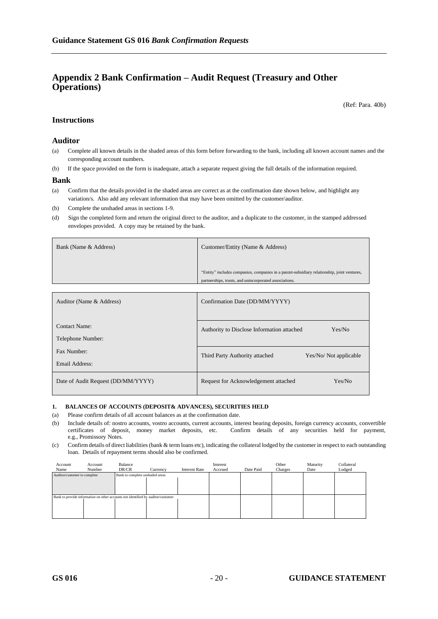# **Appendix 2 Bank Confirmation – Audit Request (Treasury and Other Operations)**

(Ref: Para. 40b)

### **Instructions**

### **Auditor**

- (a) Complete all known details in the shaded areas of this form before forwarding to the bank, including all known account names and the corresponding account numbers.
- (b) If the space provided on the form is inadequate, attach a separate request giving the full details of the information required.

#### **Bank**

- (a) Confirm that the details provided in the shaded areas are correct as at the confirmation date shown below, and highlight any variation/s. Also add any relevant information that may have been omitted by the customer/auditor.
- (b) Complete the unshaded areas in sections 1-9.
- (d) Sign the completed form and return the original direct to the auditor, and a duplicate to the customer, in the stamped addressed envelopes provided. A copy may be retained by the bank.

| Bank (Name & Address) | Customer/Entity (Name & Address)                                                            |
|-----------------------|---------------------------------------------------------------------------------------------|
|                       | "Entity" includes companies, companies in a parent-subsidiary relationship, joint ventures, |
|                       | partnerships, trusts, and unincorporated associations.                                      |

| Auditor (Name & Address)                  | Confirmation Date (DD/MM/YYYY)             |                       |
|-------------------------------------------|--------------------------------------------|-----------------------|
| <b>Contact Name:</b><br>Telephone Number: | Authority to Disclose Information attached | Yes/No                |
| Fax Number:<br>Email Address:             | Third Party Authority attached             | Yes/No/Not applicable |
| Date of Audit Request (DD/MM/YYYY)        | Request for Acknowledgement attached       | Yes/No                |

#### **1. BALANCES OF ACCOUNTS (DEPOSIT& ADVANCES), SECURITIES HELD**

- (a) Please confirm details of all account balances as at the confirmation date.
- (b) Include details of: nostro accounts, vostro accounts, current accounts, interest bearing deposits, foreign currency accounts, convertible certificates of deposit, money market deposits, etc. Confirm details of any securities held for payment, e.g., Promissory Notes.
- (c) Confirm details of direct liabilities (bank & term loans etc), indicating the collateral lodged by the customer in respect to each outstanding loan. Details of repayment terms should also be confirmed.

| Account<br>Name              | Account<br>Number | Balance<br>DR/CR                                                                 | Currency | <b>Interest Rate</b> | Interest<br>Accrued | Date Paid | Other<br>Charges | Maturity<br>Date | Collateral<br>Lodged |
|------------------------------|-------------------|----------------------------------------------------------------------------------|----------|----------------------|---------------------|-----------|------------------|------------------|----------------------|
| Auditor/customer to complete |                   | Bank to complete unshaded areas                                                  |          |                      |                     |           |                  |                  |                      |
|                              |                   |                                                                                  |          |                      |                     |           |                  |                  |                      |
|                              |                   |                                                                                  |          |                      |                     |           |                  |                  |                      |
|                              |                   | Bank to provide information on other accounts not identified by auditor/customer |          |                      |                     |           |                  |                  |                      |
|                              |                   |                                                                                  |          |                      |                     |           |                  |                  |                      |
|                              |                   |                                                                                  |          |                      |                     |           |                  |                  |                      |
|                              |                   |                                                                                  |          |                      |                     |           |                  |                  |                      |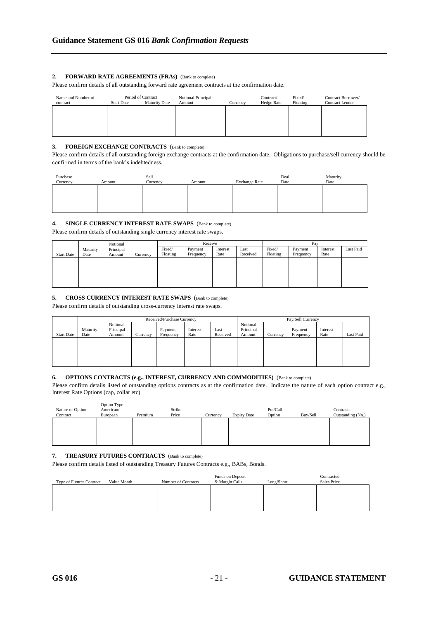#### **2. FORWARD RATE AGREEMENTS (FRAs)** (Bank to complete)

Please confirm details of all outstanding forward rate agreement contracts at the confirmation date.

| Name and Number of<br>contract | <b>Start Date</b> | Period of Contract<br>Maturity Date | Notional Principal<br>Amount | Currency | Contract/<br><b>Hedge Rate</b> | Fixed/<br>Floating | Contract Borrower/<br><b>Contract Lender</b> |
|--------------------------------|-------------------|-------------------------------------|------------------------------|----------|--------------------------------|--------------------|----------------------------------------------|
|                                |                   |                                     |                              |          |                                |                    |                                              |
|                                |                   |                                     |                              |          |                                |                    |                                              |
|                                |                   |                                     |                              |          |                                |                    |                                              |

#### **3. FOREIGN EXCHANGE CONTRACTS** (Bank to complete)

Please confirm details of all outstanding foreign exchange contracts at the confirmation date. Obligations to purchase/sell currency should be confirmed in terms of the bank's indebtedness.

| Purchase<br>Currency | Amount | Sell<br>Currency | Amount | <b>Exchange Rate</b> | Deal<br>Date | Maturity<br>Date |
|----------------------|--------|------------------|--------|----------------------|--------------|------------------|
|                      |        |                  |        |                      |              |                  |
|                      |        |                  |        |                      |              |                  |

#### **4. SINGLE CURRENCY INTEREST RATE SWAPS** (Bank to complete)

Please confirm details of outstanding single currency interest rate swaps.

|                   |          | Notional  |          |          | Receive   |          |          |          | Pay       |          |           |
|-------------------|----------|-----------|----------|----------|-----------|----------|----------|----------|-----------|----------|-----------|
|                   | Maturity | Principal |          | Fixed/   | Payment   | Interest | Last     | Fixed/   | Payment   | Interest | Last Paid |
| <b>Start Date</b> | Date     | Amount    | Currency | Floating | Frequency | Rate     | Received | Floating | Frequency | Rate     |           |
|                   |          |           |          |          |           |          |          |          |           |          |           |
|                   |          |           |          |          |           |          |          |          |           |          |           |
|                   |          |           |          |          |           |          |          |          |           |          |           |
|                   |          |           |          |          |           |          |          |          |           |          |           |
|                   |          |           |          |          |           |          |          |          |           |          |           |
|                   |          |           |          |          |           |          |          |          |           |          |           |

#### **5. CROSS CURRENCY INTEREST RATE SWAPS** (Bank to complete)

Please confirm details of outstanding cross-currency interest rate swaps.

|                   |                  |                                 | Received/Purchase Currency |                      |                  |                  |                                 |          | Pav/Sell Currency    |                  |           |
|-------------------|------------------|---------------------------------|----------------------------|----------------------|------------------|------------------|---------------------------------|----------|----------------------|------------------|-----------|
| <b>Start Date</b> | Maturity<br>Date | Notional<br>Principal<br>Amount | Currencv                   | Payment<br>Frequency | Interest<br>Rate | Last<br>Received | Notional<br>Principal<br>Amount | Currency | Payment<br>Frequency | Interest<br>Rate | Last Paid |
|                   |                  |                                 |                            |                      |                  |                  |                                 |          |                      |                  |           |
|                   |                  |                                 |                            |                      |                  |                  |                                 |          |                      |                  |           |

#### **6. OPTIONS CONTRACTS (e.g., INTEREST, CURRENCY AND COMMODITIES)** (Bank to complete)

Please confirm details listed of outstanding options contracts as at the confirmation date. Indicate the nature of each option contract e.g., Interest Rate Options (cap, collar etc).

| Nature of Option<br>Contract | Option Type<br>American/<br>European | Premium | Strike<br>Price | Currency | <b>Expiry Date</b> | Put/Call<br>Option | Buv/Sell | Contracts<br>Outstanding (No.) |
|------------------------------|--------------------------------------|---------|-----------------|----------|--------------------|--------------------|----------|--------------------------------|
|                              |                                      |         |                 |          |                    |                    |          |                                |
|                              |                                      |         |                 |          |                    |                    |          |                                |
|                              |                                      |         |                 |          |                    |                    |          |                                |
|                              |                                      |         |                 |          |                    |                    |          |                                |
|                              |                                      |         |                 |          |                    |                    |          |                                |

#### **7. TREASURY FUTURES CONTRACTS** (Bank to complete)

Please confirm details listed of outstanding Treasury Futures Contracts e.g., BABs, Bonds.

| <b>Type of Futures Contract</b> | Value Month | Number of Contracts | Funds on Deposit<br>& Margin Calls | Long/Short | Contracted<br>Sales Price |
|---------------------------------|-------------|---------------------|------------------------------------|------------|---------------------------|
|                                 |             |                     |                                    |            |                           |
|                                 |             |                     |                                    |            |                           |
|                                 |             |                     |                                    |            |                           |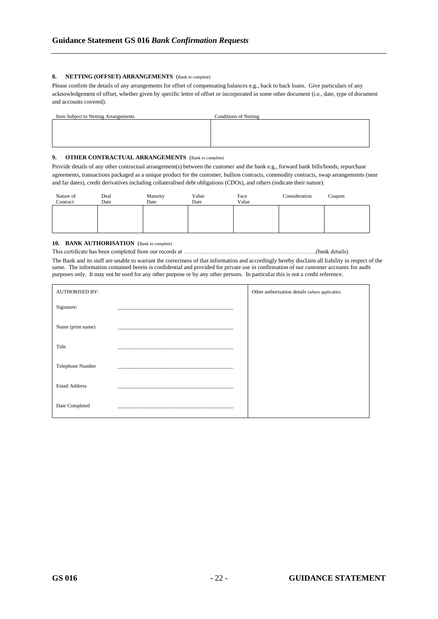#### 8. NETTING (OFFSET) ARRANGEMENTS (Bank to complete)

Please confirm the details of any arrangements for offset of compensating balances e.g., back to back loans. Give particulars of any acknowledgement of offset, whether given by specific letter of offset or incorporated in some other document (i.e., date, type of document and accounts covered).

| Item Subject to Netting Arrangements | <b>Conditions of Netting</b> |
|--------------------------------------|------------------------------|
|                                      |                              |
|                                      |                              |
|                                      |                              |
|                                      |                              |

### 9. OTHER CONTRACTUAL ARRANGEMENTS (Bank to complete)

Provide details of any other contractual arrangement(s) between the customer and the bank e.g., forward bank bills/bonds, repurchase agreements, transactions packaged as a unique product for the customer, bullion contracts, commodity contracts, swap arrangements (near and far dates), credit derivatives including collateralised debt obligations (CDOs), and others (indicate their nature).

| Nature of<br>Contract | Deal<br>Date | Maturity<br>Date | Value<br>Date | Face<br>Value | Consideration | Coupon |
|-----------------------|--------------|------------------|---------------|---------------|---------------|--------|
|                       |              |                  |               |               |               |        |
|                       |              |                  |               |               |               |        |

#### 10. BANK AUTHORISATION (Bank to complete)

This certificate has been completed from our records at …………………………………………………………..(bank details).

The Bank and its staff are unable to warrant the correctness of that information and accordingly hereby disclaim all liability in respect of the same. The information contained herein is confidential and provided for private use in confirmation of our customer accounts for audit purposes only. It may not be used for any other purpose or by any other persons. In particular this is not a credit reference.

| <b>AUTHORISED BY:</b> | Other authorisation details (where applicable) |
|-----------------------|------------------------------------------------|
| Signature:            |                                                |
| Name (print name)     |                                                |
| Title                 |                                                |
| Telephone Number      |                                                |
| <b>Email Address</b>  |                                                |
| Date Completed        |                                                |